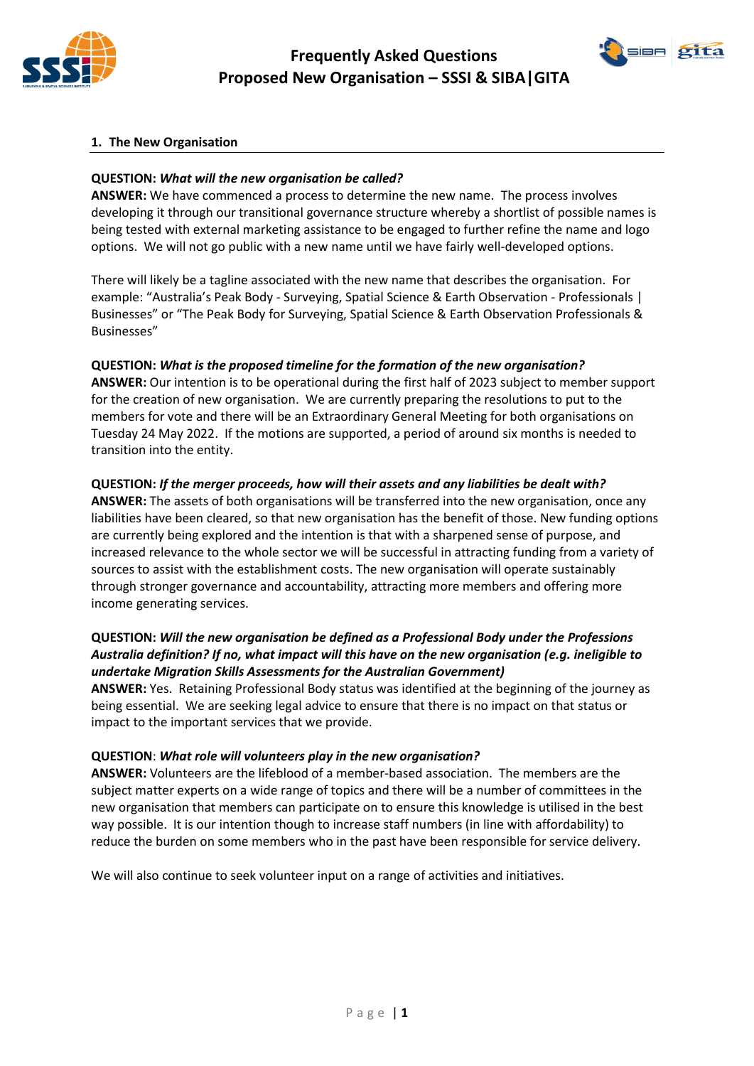



### **1. The New Organisation**

#### **QUESTION:** *What will the new organisation be called?*

**ANSWER:** We have commenced a process to determine the new name. The process involves developing it through our transitional governance structure whereby a shortlist of possible names is being tested with external marketing assistance to be engaged to further refine the name and logo options. We will not go public with a new name until we have fairly well-developed options.

There will likely be a tagline associated with the new name that describes the organisation. For example: "Australia's Peak Body - Surveying, Spatial Science & Earth Observation - Professionals | Businesses" or "The Peak Body for Surveying, Spatial Science & Earth Observation Professionals & Businesses"

#### **QUESTION:** *What is the proposed timeline for the formation of the new organisation?*

**ANSWER:** Our intention is to be operational during the first half of 2023 subject to member support for the creation of new organisation. We are currently preparing the resolutions to put to the members for vote and there will be an Extraordinary General Meeting for both organisations on Tuesday 24 May 2022. If the motions are supported, a period of around six months is needed to transition into the entity.

#### **QUESTION:** *If the merger proceeds, how will their assets and any liabilities be dealt with?*

**ANSWER:** The assets of both organisations will be transferred into the new organisation, once any liabilities have been cleared, so that new organisation has the benefit of those. New funding options are currently being explored and the intention is that with a sharpened sense of purpose, and increased relevance to the whole sector we will be successful in attracting funding from a variety of sources to assist with the establishment costs. The new organisation will operate sustainably through stronger governance and accountability, attracting more members and offering more income generating services.

## **QUESTION:** *Will the new organisation be defined as a Professional Body under the Professions Australia definition? If no, what impact will this have on the new organisation (e.g. ineligible to undertake Migration Skills Assessments for the Australian Government)*

**ANSWER:** Yes. Retaining Professional Body status was identified at the beginning of the journey as being essential. We are seeking legal advice to ensure that there is no impact on that status or impact to the important services that we provide.

#### **QUESTION**: *What role will volunteers play in the new organisation?*

**ANSWER:** Volunteers are the lifeblood of a member-based association. The members are the subject matter experts on a wide range of topics and there will be a number of committees in the new organisation that members can participate on to ensure this knowledge is utilised in the best way possible. It is our intention though to increase staff numbers (in line with affordability) to reduce the burden on some members who in the past have been responsible for service delivery.

We will also continue to seek volunteer input on a range of activities and initiatives.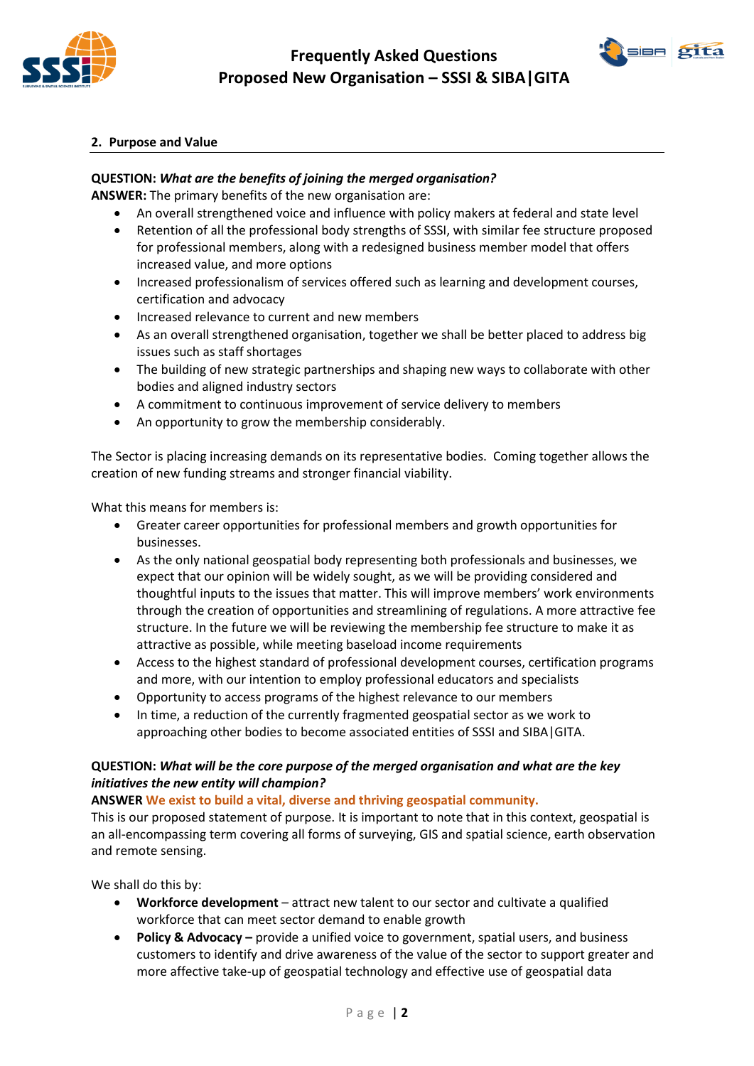



### **2. Purpose and Value**

### **QUESTION:** *What are the benefits of joining the merged organisation?*

**ANSWER:** The primary benefits of the new organisation are:

- An overall strengthened voice and influence with policy makers at federal and state level
- Retention of all the professional body strengths of SSSI, with similar fee structure proposed for professional members, along with a redesigned business member model that offers increased value, and more options
- Increased professionalism of services offered such as learning and development courses, certification and advocacy
- Increased relevance to current and new members
- As an overall strengthened organisation, together we shall be better placed to address big issues such as staff shortages
- The building of new strategic partnerships and shaping new ways to collaborate with other bodies and aligned industry sectors
- A commitment to continuous improvement of service delivery to members
- An opportunity to grow the membership considerably.

The Sector is placing increasing demands on its representative bodies. Coming together allows the creation of new funding streams and stronger financial viability.

What this means for members is:

- Greater career opportunities for professional members and growth opportunities for businesses.
- As the only national geospatial body representing both professionals and businesses, we expect that our opinion will be widely sought, as we will be providing considered and thoughtful inputs to the issues that matter. This will improve members' work environments through the creation of opportunities and streamlining of regulations. A more attractive fee structure. In the future we will be reviewing the membership fee structure to make it as attractive as possible, while meeting baseload income requirements
- Access to the highest standard of professional development courses, certification programs and more, with our intention to employ professional educators and specialists
- Opportunity to access programs of the highest relevance to our members
- In time, a reduction of the currently fragmented geospatial sector as we work to approaching other bodies to become associated entities of SSSI and SIBA|GITA.

## **QUESTION:** *What will be the core purpose of the merged organisation and what are the key initiatives the new entity will champion?*

**ANSWER We exist to build a vital, diverse and thriving geospatial community.** 

This is our proposed statement of purpose. It is important to note that in this context, geospatial is an all-encompassing term covering all forms of surveying, GIS and spatial science, earth observation and remote sensing.

We shall do this by:

- **Workforce development**  attract new talent to our sector and cultivate a qualified workforce that can meet sector demand to enable growth
- **Policy & Advocacy –** provide a unified voice to government, spatial users, and business customers to identify and drive awareness of the value of the sector to support greater and more affective take-up of geospatial technology and effective use of geospatial data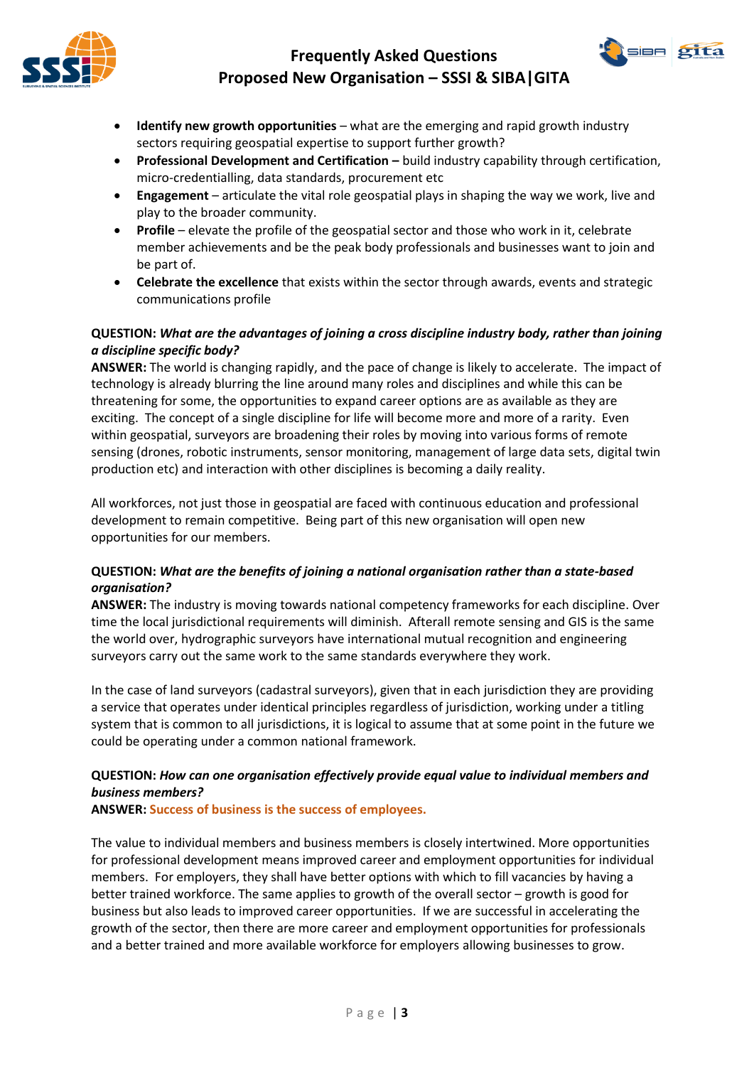# **Frequently Asked Questions Proposed New Organisation – SSSI & SIBA|GITA**





- **Identify new growth opportunities**  what are the emerging and rapid growth industry sectors requiring geospatial expertise to support further growth?
- **Professional Development and Certification –** build industry capability through certification, micro-credentialling, data standards, procurement etc
- **Engagement**  articulate the vital role geospatial plays in shaping the way we work, live and play to the broader community.
- **Profile**  elevate the profile of the geospatial sector and those who work in it, celebrate member achievements and be the peak body professionals and businesses want to join and be part of.
- **Celebrate the excellence** that exists within the sector through awards, events and strategic communications profile

## **QUESTION:** *What are the advantages of joining a cross discipline industry body, rather than joining a discipline specific body?*

**ANSWER:** The world is changing rapidly, and the pace of change is likely to accelerate. The impact of technology is already blurring the line around many roles and disciplines and while this can be threatening for some, the opportunities to expand career options are as available as they are exciting. The concept of a single discipline for life will become more and more of a rarity. Even within geospatial, surveyors are broadening their roles by moving into various forms of remote sensing (drones, robotic instruments, sensor monitoring, management of large data sets, digital twin production etc) and interaction with other disciplines is becoming a daily reality.

All workforces, not just those in geospatial are faced with continuous education and professional development to remain competitive. Being part of this new organisation will open new opportunities for our members.

## **QUESTION:** *What are the benefits of joining a national organisation rather than a state-based organisation?*

**ANSWER:** The industry is moving towards national competency frameworks for each discipline. Over time the local jurisdictional requirements will diminish. Afterall remote sensing and GIS is the same the world over, hydrographic surveyors have international mutual recognition and engineering surveyors carry out the same work to the same standards everywhere they work.

In the case of land surveyors (cadastral surveyors), given that in each jurisdiction they are providing a service that operates under identical principles regardless of jurisdiction, working under a titling system that is common to all jurisdictions, it is logical to assume that at some point in the future we could be operating under a common national framework.

## **QUESTION:** *How can one organisation effectively provide equal value to individual members and business members?*

**ANSWER: Success of business is the success of employees.**

The value to individual members and business members is closely intertwined. More opportunities for professional development means improved career and employment opportunities for individual members. For employers, they shall have better options with which to fill vacancies by having a better trained workforce. The same applies to growth of the overall sector – growth is good for business but also leads to improved career opportunities. If we are successful in accelerating the growth of the sector, then there are more career and employment opportunities for professionals and a better trained and more available workforce for employers allowing businesses to grow.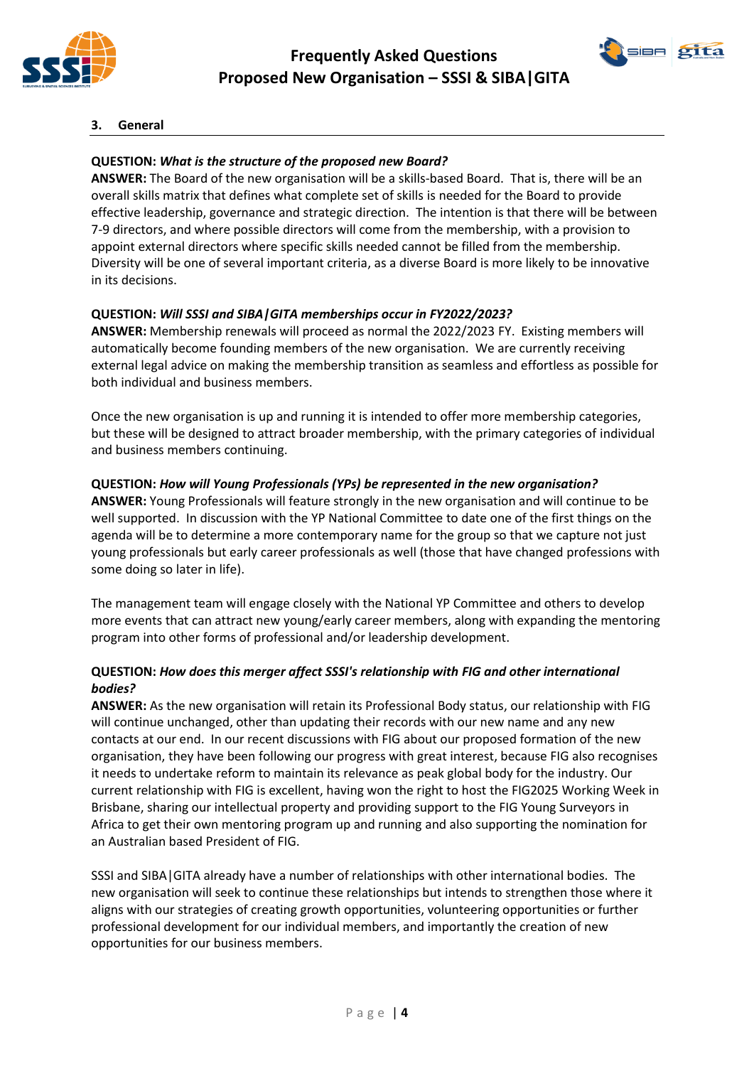



## **3. General**

## **QUESTION:** *What is the structure of the proposed new Board?*

**ANSWER:** The Board of the new organisation will be a skills-based Board. That is, there will be an overall skills matrix that defines what complete set of skills is needed for the Board to provide effective leadership, governance and strategic direction. The intention is that there will be between 7-9 directors, and where possible directors will come from the membership, with a provision to appoint external directors where specific skills needed cannot be filled from the membership. Diversity will be one of several important criteria, as a diverse Board is more likely to be innovative in its decisions.

## **QUESTION:** *Will SSSI and SIBA|GITA memberships occur in FY2022/2023?*

**ANSWER:** Membership renewals will proceed as normal the 2022/2023 FY. Existing members will automatically become founding members of the new organisation. We are currently receiving external legal advice on making the membership transition as seamless and effortless as possible for both individual and business members.

Once the new organisation is up and running it is intended to offer more membership categories, but these will be designed to attract broader membership, with the primary categories of individual and business members continuing.

#### **QUESTION:** *How will Young Professionals (YPs) be represented in the new organisation?*

**ANSWER:** Young Professionals will feature strongly in the new organisation and will continue to be well supported. In discussion with the YP National Committee to date one of the first things on the agenda will be to determine a more contemporary name for the group so that we capture not just young professionals but early career professionals as well (those that have changed professions with some doing so later in life).

The management team will engage closely with the National YP Committee and others to develop more events that can attract new young/early career members, along with expanding the mentoring program into other forms of professional and/or leadership development.

## **QUESTION:** *How does this merger affect SSSI's relationship with FIG and other international bodies?*

**ANSWER:** As the new organisation will retain its Professional Body status, our relationship with FIG will continue unchanged, other than updating their records with our new name and any new contacts at our end. In our recent discussions with FIG about our proposed formation of the new organisation, they have been following our progress with great interest, because FIG also recognises it needs to undertake reform to maintain its relevance as peak global body for the industry. Our current relationship with FIG is excellent, having won the right to host the FIG2025 Working Week in Brisbane, sharing our intellectual property and providing support to the FIG Young Surveyors in Africa to get their own mentoring program up and running and also supporting the nomination for an Australian based President of FIG.

SSSI and SIBA|GITA already have a number of relationships with other international bodies. The new organisation will seek to continue these relationships but intends to strengthen those where it aligns with our strategies of creating growth opportunities, volunteering opportunities or further professional development for our individual members, and importantly the creation of new opportunities for our business members.